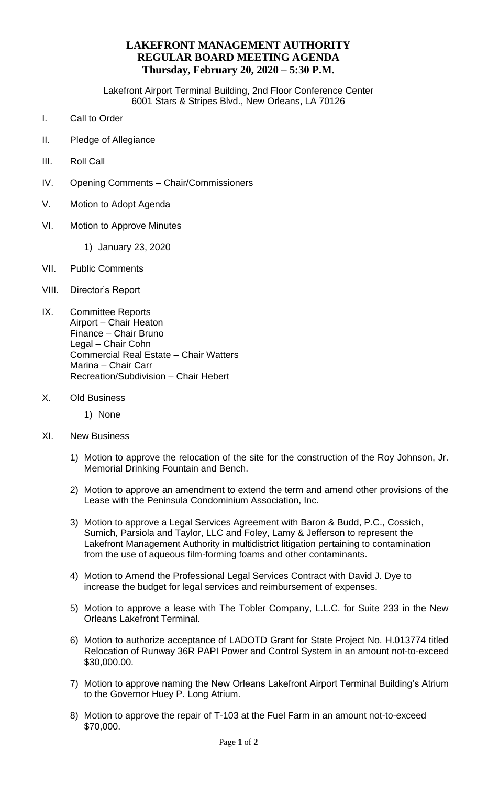## **LAKEFRONT MANAGEMENT AUTHORITY REGULAR BOARD MEETING AGENDA Thursday, February 20, 2020 – 5:30 P.M.**

Lakefront Airport Terminal Building, 2nd Floor Conference Center 6001 Stars & Stripes Blvd., New Orleans, LA 70126

- I. Call to Order
- II. Pledge of Allegiance
- III. Roll Call
- IV. Opening Comments Chair/Commissioners
- V. Motion to Adopt Agenda
- VI. Motion to Approve Minutes
	- 1) January 23, 2020
- VII. Public Comments
- VIII. Director's Report
- IX. Committee Reports Airport – Chair Heaton Finance – Chair Bruno Legal – Chair Cohn Commercial Real Estate – Chair Watters Marina – Chair Carr Recreation/Subdivision – Chair Hebert
- X. Old Business
	- 1) None
- XI. New Business
	- 1) Motion to approve the relocation of the site for the construction of the Roy Johnson, Jr. Memorial Drinking Fountain and Bench.
	- 2) Motion to approve an amendment to extend the term and amend other provisions of the Lease with the Peninsula Condominium Association, Inc.
	- 3) Motion to approve a Legal Services Agreement with Baron & Budd, P.C., Cossich, Sumich, Parsiola and Taylor, LLC and Foley, Lamy & Jefferson to represent the Lakefront Management Authority in multidistrict litigation pertaining to contamination from the use of aqueous film-forming foams and other contaminants.
	- 4) Motion to Amend the Professional Legal Services Contract with David J. Dye to increase the budget for legal services and reimbursement of expenses.
	- 5) Motion to approve a lease with The Tobler Company, L.L.C. for Suite 233 in the New Orleans Lakefront Terminal.
	- 6) Motion to authorize acceptance of LADOTD Grant for State Project No. H.013774 titled Relocation of Runway 36R PAPI Power and Control System in an amount not-to-exceed \$30,000.00.
	- 7) Motion to approve naming the New Orleans Lakefront Airport Terminal Building's Atrium to the Governor Huey P. Long Atrium.
	- 8) Motion to approve the repair of T-103 at the Fuel Farm in an amount not-to-exceed \$70,000.